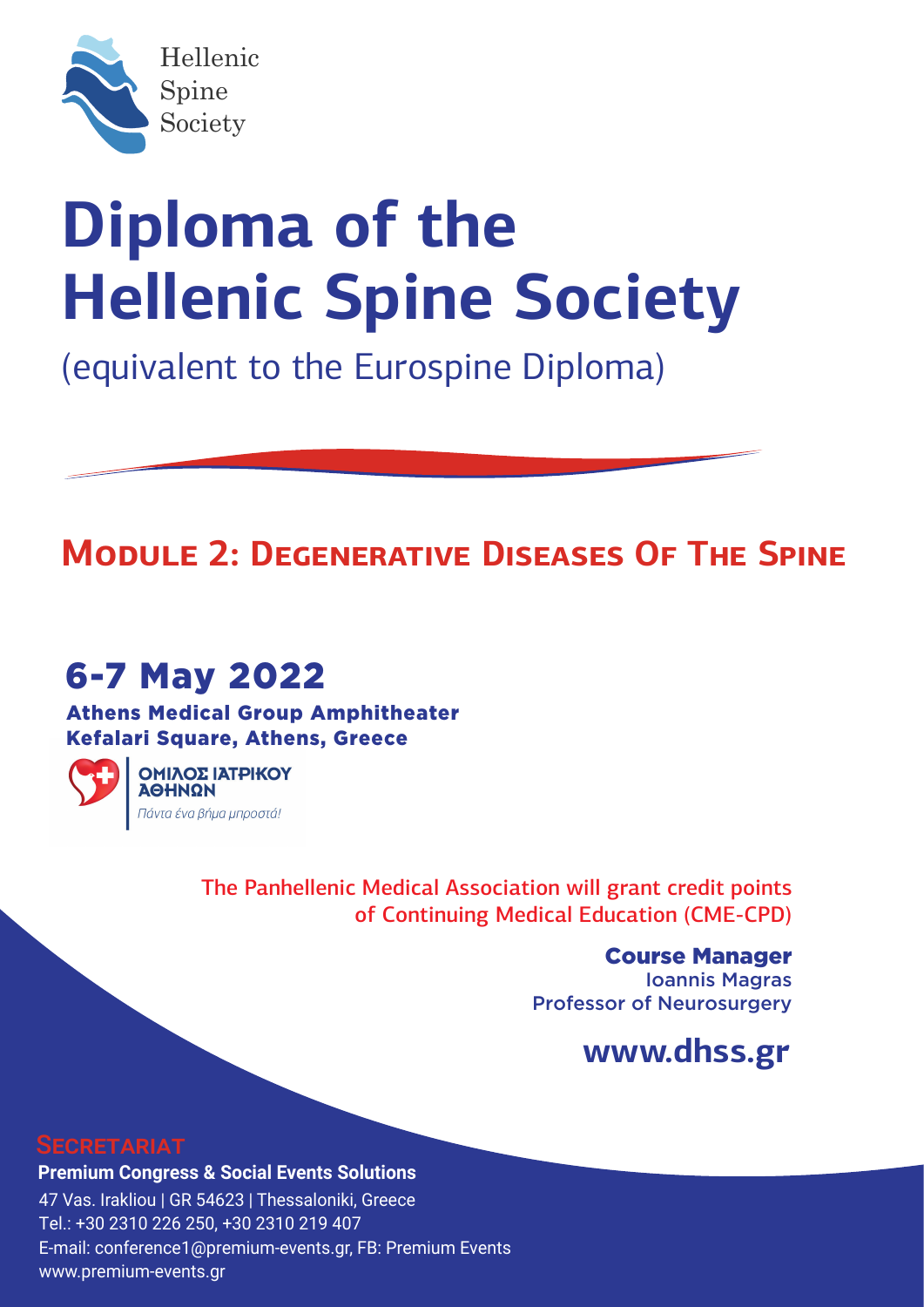

# **Diploma of the Hellenic Spine Society**

(equivalent to the Eurospine Diploma)

### **MODULE 2: DEGENERATIVE DISEASES OF THE SPINE**

### 6-7 May 2022

Athens Medical Group Amphitheater Kefalari Square, Athens, Greece



ΟΜΙΛΟΣ ΙΑΤΡΙΚΟΥ **ΑΘΗΝΩΝ** .<br>Πάντα ένα βήμα μπροστά!

> Τhe Panhellenic Medical Association will grant credit points of Continuing Medical Education (CME-CPD)

> > Course Manager Ioannis Magras Professor of Neurosurgery

### **www.dhss.gr**

#### SECRETARIAT

**Premium Congress & Social Events Solutions** 47 Vas. Irakliou | GR 54623 | Thessaloniki, Greece Tel.: +30 2310 226 250, +30 2310 219 407 E-mail: conference1@premium-events.gr, FB: Premium Events www.premium-events.gr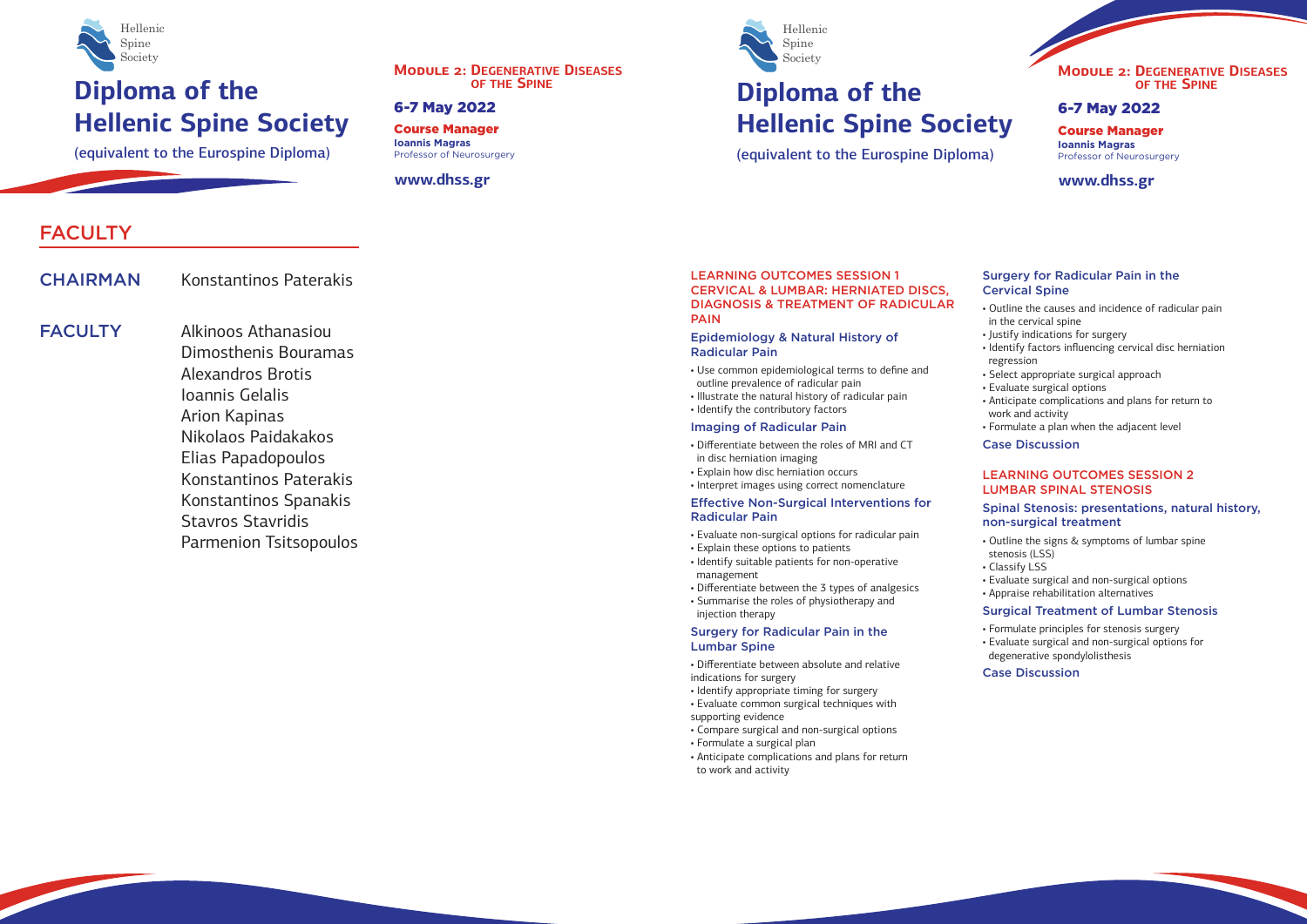#### LEARNING OUTCOMES SESSION 1 CERVICAL & LUMBAR: HERNIATED DISCS, DIAGNOSIS & TREATMENT OF RADICULAR PAIN

## **Diploma of the Hellenic Spine Society**

(equivalent to the Eurospine Diploma)

## **6-7 May 2022 Diploma of the Hellenic Spine Society**



Course Manager **Ioannis Magras** Professor of Neurosurgery

**www.dhss.gr**

**MODULE 2: DEGENERATIVE DISEASES OF THE SPINE**

(equivalent to the Eurospine Diploma)



#### 6-7 May 2022

Course Manager **Ioannis Magras** Professor of Neurosurgery

#### **www.dhss.gr**





### FACULTY

CHAIRMAN Konstantinos Paterakis

**FACULTY** 

Alkinoos Athanasiou Dimosthenis Bouramas Alexandros Brotis Ioannis Gelalis Arion Kapinas Nikolaos Paidakakos Elias Papadopoulos Konstantinos Paterakis Konstantinos Spanakis Stavros Stavridis Parmenion Tsitsopoulos

- Outline the signs & symptoms of lumbar spine
- stenosis (LSS) • Classify LSS
- 
- Evaluate surgical and non-surgical options
- Appraise rehabilitation alternatives

#### LEARNING OUTCOMES SESSION 2 LUMBAR SPINAL STENOSIS

#### Spinal Stenosis: presentations, natural history, non-surgical treatment

#### Surgical Treatment of Lumbar Stenosis

- Formulate principles for stenosis surgery • Evaluate surgical and non-surgical options for
- degenerative spondylolisthesis

#### Case Discussion

#### Epidemiology & Natural History of Radicular Pain

- Use common epidemiological terms to define and outline prevalence of radicular pain
- Illustrate the natural history of radicular pain
- Identify the contributory factors

#### Imaging of Radicular Pain

- Differentiate between the roles of MRI and CT in disc herniation imaging
- Explain how disc herniation occurs
- Interpret images using correct nomenclature

#### Effective Non-Surgical Interventions for Radicular Pain

- Evaluate non-surgical options for radicular pain
- Explain these options to patients
- Identify suitable patients for non-operative management
- Differentiate between the 3 types of analgesics
- Summarise the roles of physiotherapy and injection therapy

#### Surgery for Radicular Pain in the Lumbar Spine

- Differentiate between absolute and relative indications for surgery
- Identify appropriate timing for surgery
- Evaluate common surgical techniques with supporting evidence
- Compare surgical and non-surgical options
- Formulate a surgical plan
- Anticipate complications and plans for return to work and activity

#### Surgery for Radicular Pain in the Cervical Spine

- Outline the causes and incidence of radicular pain in the cervical spine
- Justify indications for surgery
- Identify factors influencing cervical disc herniation regression
- Select appropriate surgical approach
- Evaluate surgical options
- Anticipate complications and plans for return to work and activity
- Formulate a plan when the adjacent level

#### Case Discussion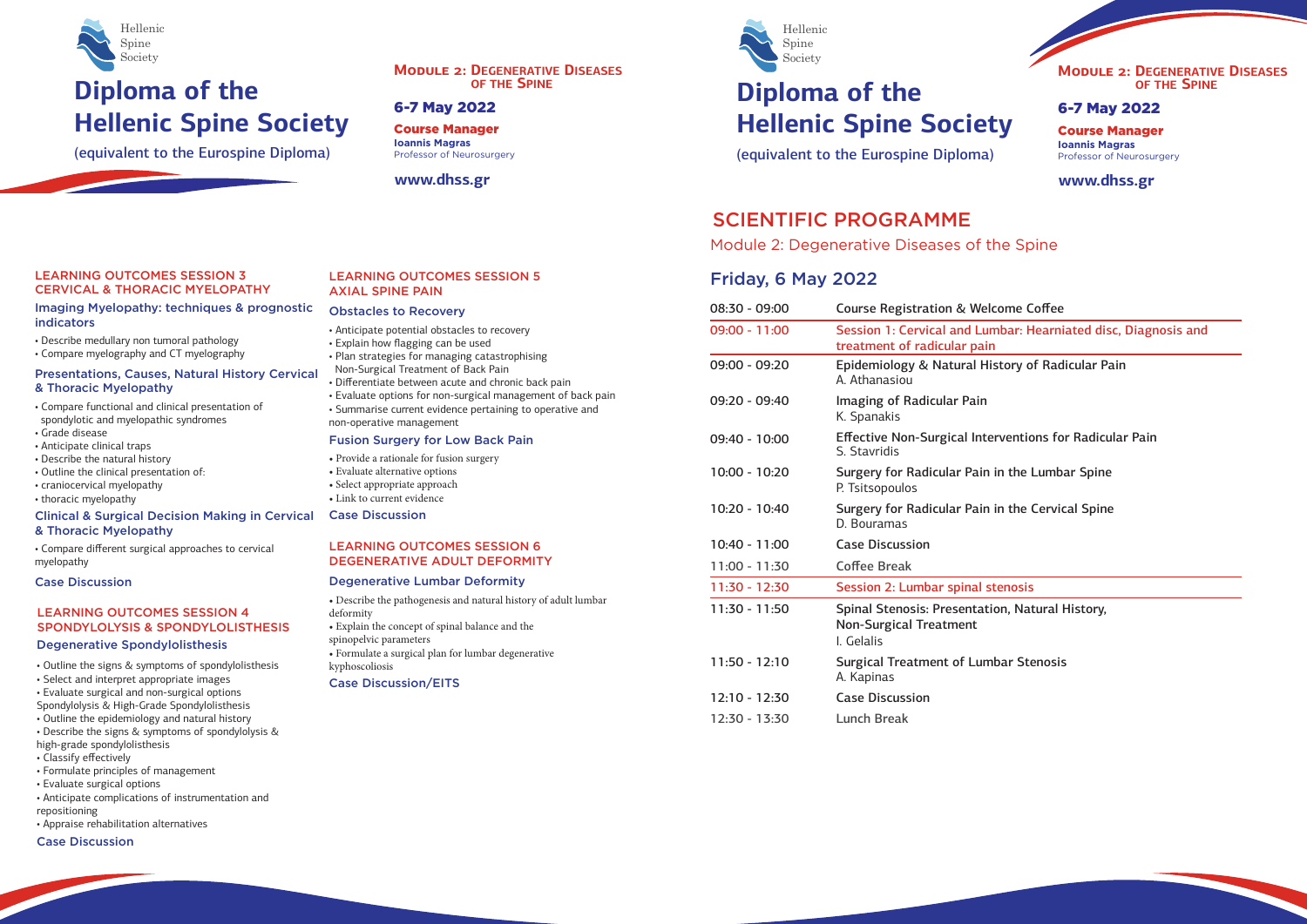#### LEARNING OUTCOMES SESSION 5 AXIAL SPINE PAIN

## **Diploma of the Hellenic Spine Society**

(equivalent to the Eurospine Diploma)



## **6-7 May 2022 Diploma of the Hellenic Spine Society**

Course Manager **Ioannis Magras** Professor of Neurosurgery

**www.dhss.gr**

#### **MODULE 2: DEGENERATIVE DISEASES OF THE SPINE**

(equivalent to the Eurospine Diploma)



#### 6-7 May 2022

Course Manager **Ioannis Magras** Professor of Neurosurgery

#### **www.dhss.gr**

#### come Coffee

nbar: Hearniated disc, Diagnosis and

story of Radicular Pain

rventions for Radicular Pain

in the Lumbar Spine

in the Cervical Spine

ion. Natural History,

bar Stenosis





### SCIENTIFIC PROGRAMME

Module 2: Degenerative Diseases of the Spine

### Friday, 6 May 2022

| 08:30 - 09:00   | <b>Course Registration &amp; Welcome C</b>                                               |
|-----------------|------------------------------------------------------------------------------------------|
| $09:00 - 11:00$ | Session 1: Cervical and Lumbar: H<br>treatment of radicular pain                         |
| 09:00 - 09:20   | Epidemiology & Natural History o<br>A. Athanasiou                                        |
| 09:20 - 09:40   | Imaging of Radicular Pain<br>K. Spanakis                                                 |
| 09:40 - 10:00   | <b>Effective Non-Surgical Interventio</b><br>S. Stavridis                                |
| $10:00 - 10:20$ | Surgery for Radicular Pain in the I<br>P. Tsitsopoulos                                   |
| 10:20 - 10:40   | Surgery for Radicular Pain in the<br>D. Bouramas                                         |
| $10:40 - 11:00$ | <b>Case Discussion</b>                                                                   |
| $11:00 - 11:30$ | <b>Coffee Break</b>                                                                      |
| $11:30 - 12:30$ | Session 2: Lumbar spinal stenosis                                                        |
| $11:30 - 11:50$ | <b>Spinal Stenosis: Presentation, Nat</b><br><b>Non-Surgical Treatment</b><br>I. Gelalis |
| $11:50 - 12:10$ | <b>Surgical Treatment of Lumbar Ste</b><br>A. Kapinas                                    |
| $12:10 - 12:30$ | <b>Case Discussion</b>                                                                   |
| 12:30 - 13:30   | <b>Lunch Break</b>                                                                       |
|                 |                                                                                          |

#### LEARNING OUTCOMES SESSION 4 SPONDYLOLYSIS & SPONDYLOLISTHESIS

#### Degenerative Spondylolisthesis

- Outline the signs & symptoms of spondylolisthesis
- Select and interpret appropriate images
- Evaluate surgical and non-surgical options
- Spondylolysis & High-Grade Spondylolisthesis
- Outline the epidemiology and natural history
- Describe the signs & symptoms of spondylolysis &
- high-grade spondylolisthesis
- Classify effectively
- Formulate principles of management
- Evaluate surgical options
- Anticipate complications of instrumentation and repositioning
- Appraise rehabilitation alternatives

#### Case Discussion

#### Obstacles to Recovery

- Anticipate potential obstacles to recovery • Explain how flagging can be used
- Plan strategies for managing catastrophising
- Non-Surgical Treatment of Back Pain • Differentiate between acute and chronic back pain
- Evaluate options for non-surgical management of back pain • Summarise current evidence pertaining to operative and non-operative management

#### Fusion Surgery for Low Back Pain

• Provide a rationale for fusion surgery • Evaluate alternative options • Select appropriate approach • Link to current evidence Case Discussion

#### LEARNING OUTCOMES SESSION 6 DEGENERATIVE ADULT DEFORMITY

#### Degenerative Lumbar Deformity

• Describe the pathogenesis and natural history of adult lumbar deformity • Explain the concept of spinal balance and the spinopelvic parameters • Formulate a surgical plan for lumbar degenerative kyphoscoliosis Case Discussion/EITS

#### LEARNING OUTCOMES SESSION 3 CERVICAL & THORACIC MYELOPATHY

- Describe medullary non tumoral pathology
- Compare myelography and CT myelography

#### Imaging Myelopathy: techniques & prognostic indicators

#### Presentations, Causes, Natural History Cervical & Thoracic Myelopathy

- Compare functional and clinical presentation of spondylotic and myelopathic syndromes
- Grade disease
- Anticipate clinical traps
- Describe the natural history
- Outline the clinical presentation of:
- craniocervical myelopathy
- thoracic myelopathy

#### Clinical & Surgical Decision Making in Cervical & Thoracic Myelopathy

• Compare different surgical approaches to cervical myelopathy

#### Case Discussion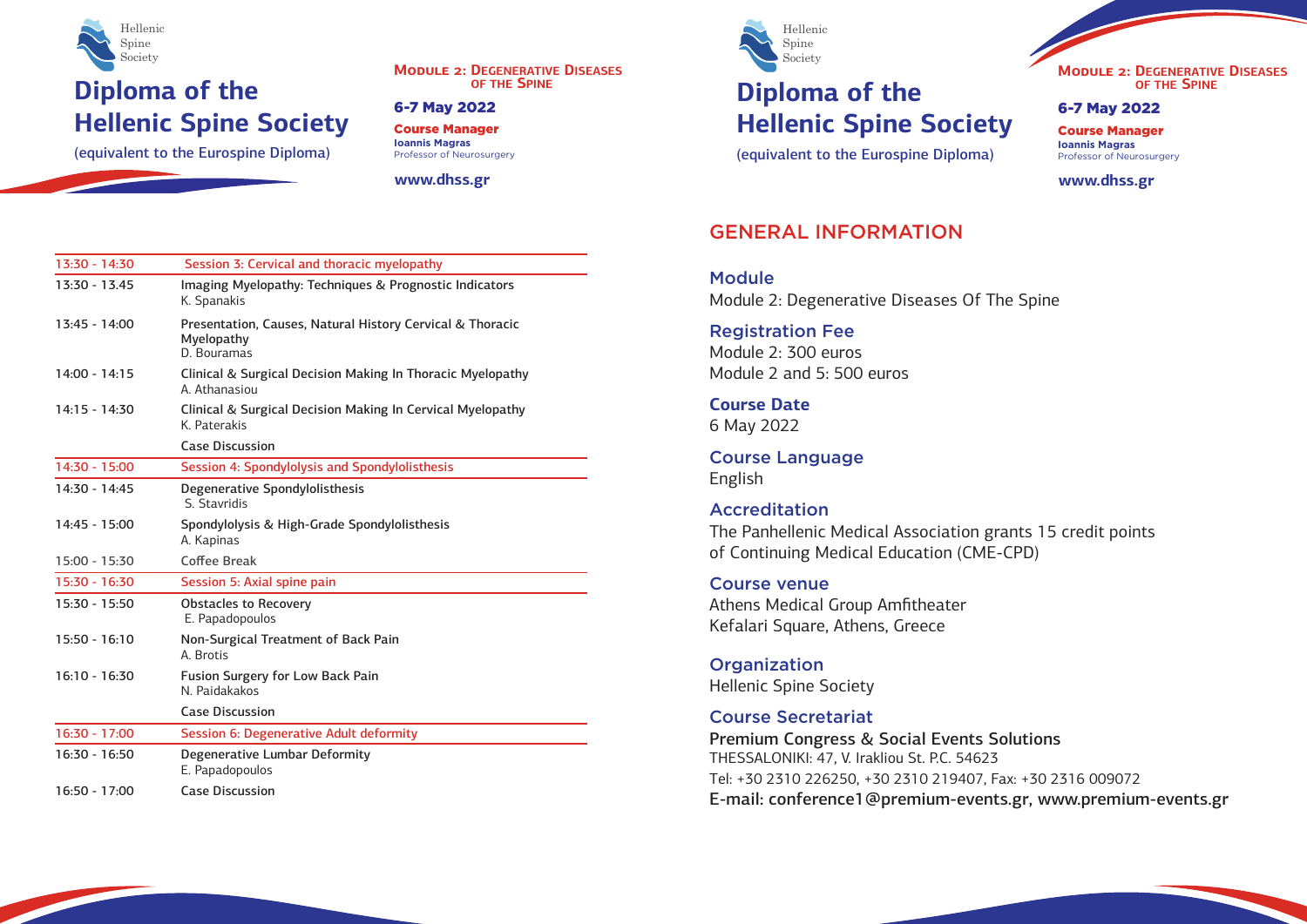## **Diploma of the Hellenic Spine Society**

(equivalent to the Eurospine Diploma)



**MODULE 2: DEGENERATIVE DISEASES OF THE SPINE**

Course Manager **Ioannis Magras** Professor of Neurosurgery

**www.dhss.gr**

6-7 May 2022

| 13:30 - 14:30   | Session 3: Cervical and thoracic myelopathy                                            |  |
|-----------------|----------------------------------------------------------------------------------------|--|
| 13:30 - 13.45   | Imaging Myelopathy: Techniques & Prognostic Indicators<br>K. Spanakis                  |  |
| $13:45 - 14:00$ | Presentation, Causes, Natural History Cervical & Thoracic<br>Myelopathy<br>D. Bouramas |  |
| 14:00 - 14:15   | Clinical & Surgical Decision Making In Thoracic Myelopathy<br>A. Athanasiou            |  |
| $14:15 - 14:30$ | Clinical & Surgical Decision Making In Cervical Myelopathy<br>K. Paterakis             |  |
|                 | <b>Case Discussion</b>                                                                 |  |
| 14:30 - 15:00   | Session 4: Spondylolysis and Spondylolisthesis                                         |  |
| 14:30 - 14:45   | Degenerative Spondylolisthesis<br>S. Stavridis                                         |  |
| 14:45 - 15:00   | Spondylolysis & High-Grade Spondylolisthesis<br>A. Kapinas                             |  |
| 15:00 - 15:30   | <b>Coffee Break</b>                                                                    |  |
| 15:30 - 16:30   | Session 5: Axial spine pain                                                            |  |
| 15:30 - 15:50   | <b>Obstacles to Recovery</b><br>E. Papadopoulos                                        |  |
| 15:50 - 16:10   | Non-Surgical Treatment of Back Pain<br>A. Brotis                                       |  |
| 16:10 - 16:30   | <b>Fusion Surgery for Low Back Pain</b><br>N. Paidakakos                               |  |
|                 | <b>Case Discussion</b>                                                                 |  |
| 16:30 - 17:00   | Session 6: Degenerative Adult deformity                                                |  |
| 16:30 - 16:50   | Degenerative Lumbar Deformity<br>E. Papadopoulos                                       |  |
| 16:50 - 17:00   | <b>Case Discussion</b>                                                                 |  |

**Module** Module 2: Degenerative Diseases Of The Spine

**Organization** Hellenic Spine Society

## **Diploma of the Hellenic Spine Society**

(equivalent to the Eurospine Diploma)



6-7 May 2022

Course Manager **Ioannis Magras** Professor of Neurosurgery

**www.dhss.gr**





### GENERAL INFORMATION

Registration Fee Module 2: 300 euros Module 2 and 5: 500 euros

**Course Date** 6 May 2022

Course Language English

#### Accreditation

Τhe Panhellenic Medical Association grants 15 credit points of Continuing Medical Education (CME-CPD)

Course venue Athens Medical Group Amfitheater Kefalari Square, Athens, Greece

#### Course Secretariat

Premium Congress & Social Events Solutions THESSALONIKI: 47, V. Irakliou St. P.C. 54623 Τel: +30 2310 226250, +30 2310 219407, Fax: +30 2316 009072 E-mail: conference1@premium-events.gr, www.premium-events.gr